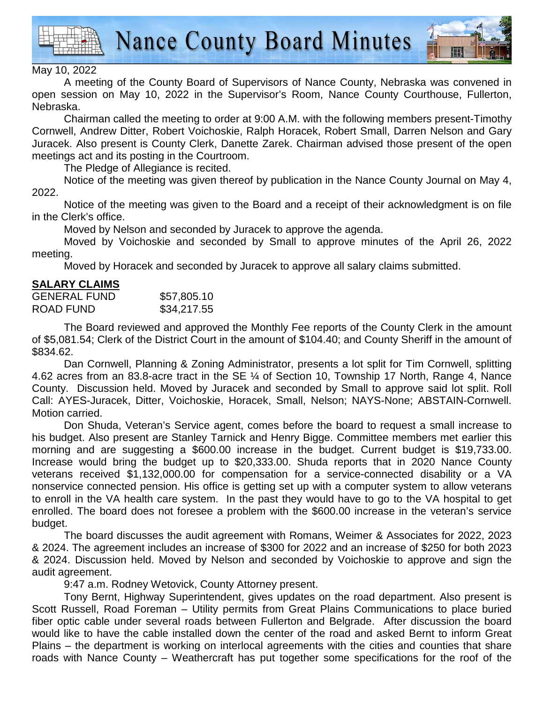

**Nance County Board Minutes** 



## May 10, 2022

A meeting of the County Board of Supervisors of Nance County, Nebraska was convened in open session on May 10, 2022 in the Supervisor's Room, Nance County Courthouse, Fullerton, Nebraska.

 Chairman called the meeting to order at 9:00 A.M. with the following members present-Timothy Cornwell, Andrew Ditter, Robert Voichoskie, Ralph Horacek, Robert Small, Darren Nelson and Gary Juracek. Also present is County Clerk, Danette Zarek. Chairman advised those present of the open meetings act and its posting in the Courtroom.

The Pledge of Allegiance is recited.

 Notice of the meeting was given thereof by publication in the Nance County Journal on May 4, 2022.

Notice of the meeting was given to the Board and a receipt of their acknowledgment is on file in the Clerk's office.

Moved by Nelson and seconded by Juracek to approve the agenda.

Moved by Voichoskie and seconded by Small to approve minutes of the April 26, 2022 meeting.

Moved by Horacek and seconded by Juracek to approve all salary claims submitted.

## **SALARY CLAIMS**

| <b>GENERAL FUND</b> | \$57,805.10 |
|---------------------|-------------|
| ROAD FUND           | \$34,217.55 |

 The Board reviewed and approved the Monthly Fee reports of the County Clerk in the amount of \$5,081.54; Clerk of the District Court in the amount of \$104.40; and County Sheriff in the amount of \$834.62.

 Dan Cornwell, Planning & Zoning Administrator, presents a lot split for Tim Cornwell, splitting 4.62 acres from an 83.8-acre tract in the SE ¼ of Section 10, Township 17 North, Range 4, Nance County. Discussion held. Moved by Juracek and seconded by Small to approve said lot split. Roll Call: AYES-Juracek, Ditter, Voichoskie, Horacek, Small, Nelson; NAYS-None; ABSTAIN-Cornwell. Motion carried.

 Don Shuda, Veteran's Service agent, comes before the board to request a small increase to his budget. Also present are Stanley Tarnick and Henry Bigge. Committee members met earlier this morning and are suggesting a \$600.00 increase in the budget. Current budget is \$19,733.00. Increase would bring the budget up to \$20,333.00. Shuda reports that in 2020 Nance County veterans received \$1,132,000.00 for compensation for a service-connected disability or a VA nonservice connected pension. His office is getting set up with a computer system to allow veterans to enroll in the VA health care system. In the past they would have to go to the VA hospital to get enrolled. The board does not foresee a problem with the \$600.00 increase in the veteran's service budget.

 The board discusses the audit agreement with Romans, Weimer & Associates for 2022, 2023 & 2024. The agreement includes an increase of \$300 for 2022 and an increase of \$250 for both 2023 & 2024. Discussion held. Moved by Nelson and seconded by Voichoskie to approve and sign the audit agreement.

9:47 a.m. Rodney Wetovick, County Attorney present.

 Tony Bernt, Highway Superintendent, gives updates on the road department. Also present is Scott Russell, Road Foreman – Utility permits from Great Plains Communications to place buried fiber optic cable under several roads between Fullerton and Belgrade. After discussion the board would like to have the cable installed down the center of the road and asked Bernt to inform Great Plains – the department is working on interlocal agreements with the cities and counties that share roads with Nance County – Weathercraft has put together some specifications for the roof of the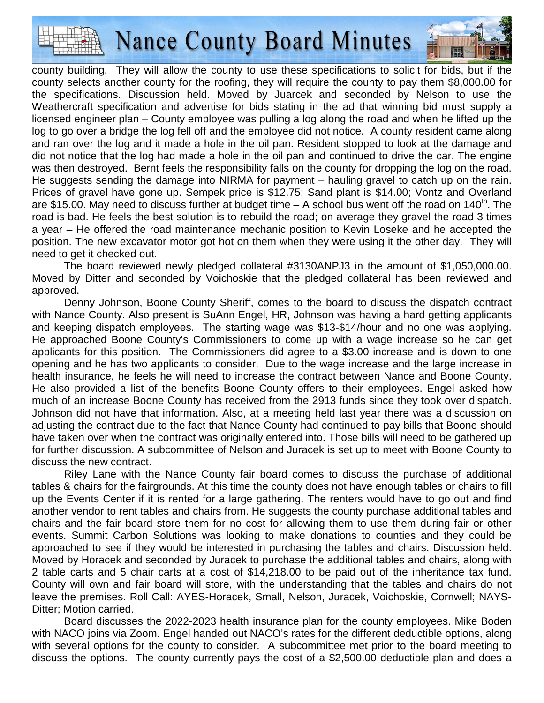

**Nance County Board Minutes** 

county building. They will allow the county to use these specifications to solicit for bids, but if the county selects another county for the roofing, they will require the county to pay them \$8,000.00 for the specifications. Discussion held. Moved by Juarcek and seconded by Nelson to use the Weathercraft specification and advertise for bids stating in the ad that winning bid must supply a licensed engineer plan – County employee was pulling a log along the road and when he lifted up the log to go over a bridge the log fell off and the employee did not notice. A county resident came along and ran over the log and it made a hole in the oil pan. Resident stopped to look at the damage and did not notice that the log had made a hole in the oil pan and continued to drive the car. The engine was then destroyed. Bernt feels the responsibility falls on the county for dropping the log on the road. He suggests sending the damage into NIRMA for payment – hauling gravel to catch up on the rain. Prices of gravel have gone up. Sempek price is \$12.75; Sand plant is \$14.00; Vontz and Overland are \$15.00. May need to discuss further at budget time  $-$  A school bus went off the road on 140<sup>th</sup>. The road is bad. He feels the best solution is to rebuild the road; on average they gravel the road 3 times a year – He offered the road maintenance mechanic position to Kevin Loseke and he accepted the position. The new excavator motor got hot on them when they were using it the other day. They will need to get it checked out.

 The board reviewed newly pledged collateral #3130ANPJ3 in the amount of \$1,050,000.00. Moved by Ditter and seconded by Voichoskie that the pledged collateral has been reviewed and approved.

 Denny Johnson, Boone County Sheriff, comes to the board to discuss the dispatch contract with Nance County. Also present is SuAnn Engel, HR, Johnson was having a hard getting applicants and keeping dispatch employees. The starting wage was \$13-\$14/hour and no one was applying. He approached Boone County's Commissioners to come up with a wage increase so he can get applicants for this position. The Commissioners did agree to a \$3.00 increase and is down to one opening and he has two applicants to consider. Due to the wage increase and the large increase in health insurance, he feels he will need to increase the contract between Nance and Boone County. He also provided a list of the benefits Boone County offers to their employees. Engel asked how much of an increase Boone County has received from the 2913 funds since they took over dispatch. Johnson did not have that information. Also, at a meeting held last year there was a discussion on adjusting the contract due to the fact that Nance County had continued to pay bills that Boone should have taken over when the contract was originally entered into. Those bills will need to be gathered up for further discussion. A subcommittee of Nelson and Juracek is set up to meet with Boone County to discuss the new contract.

 Riley Lane with the Nance County fair board comes to discuss the purchase of additional tables & chairs for the fairgrounds. At this time the county does not have enough tables or chairs to fill up the Events Center if it is rented for a large gathering. The renters would have to go out and find another vendor to rent tables and chairs from. He suggests the county purchase additional tables and chairs and the fair board store them for no cost for allowing them to use them during fair or other events. Summit Carbon Solutions was looking to make donations to counties and they could be approached to see if they would be interested in purchasing the tables and chairs. Discussion held. Moved by Horacek and seconded by Juracek to purchase the additional tables and chairs, along with 2 table carts and 5 chair carts at a cost of \$14,218.00 to be paid out of the inheritance tax fund. County will own and fair board will store, with the understanding that the tables and chairs do not leave the premises. Roll Call: AYES-Horacek, Small, Nelson, Juracek, Voichoskie, Cornwell; NAYS-Ditter; Motion carried.

 Board discusses the 2022-2023 health insurance plan for the county employees. Mike Boden with NACO joins via Zoom. Engel handed out NACO's rates for the different deductible options, along with several options for the county to consider. A subcommittee met prior to the board meeting to discuss the options. The county currently pays the cost of a \$2,500.00 deductible plan and does a